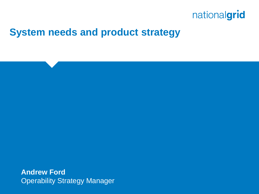

#### **System needs and product strategy**

**Andrew Ford** Operability Strategy Manager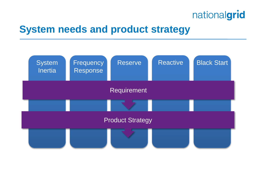### **System needs and product strategy**

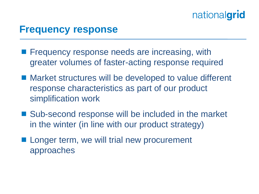#### **Frequency response**

- **Figuency response needs are increasing, with** greater volumes of faster-acting response required
- Market structures will be developed to value different response characteristics as part of our product simplification work
- Sub-second response will be included in the market in the winter (in line with our product strategy)
- **Longer term, we will trial new procurement** approaches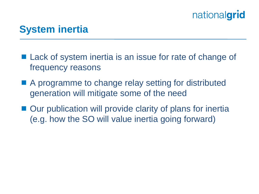### **System inertia**

- Lack of system inertia is an issue for rate of change of frequency reasons
- A programme to change relay setting for distributed generation will mitigate some of the need
- Our publication will provide clarity of plans for inertia (e.g. how the SO will value inertia going forward)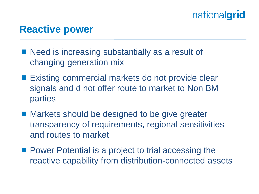#### **Reactive power**

- Need is increasing substantially as a result of changing generation mix
- Existing commercial markets do not provide clear signals and d not offer route to market to Non BM parties
- Markets should be designed to be give greater transparency of requirements, regional sensitivities and routes to market
- **Power Potential is a project to trial accessing the** reactive capability from distribution-connected assets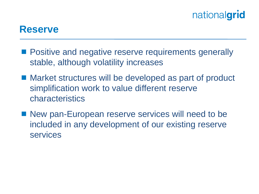#### **Reserve**

- **Positive and negative reserve requirements generally** stable, although volatility increases
- Market structures will be developed as part of product simplification work to value different reserve characteristics
- New pan-European reserve services will need to be included in any development of our existing reserve services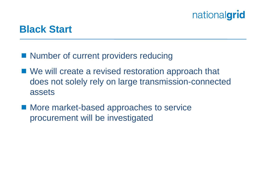#### **Black Start**

- Number of current providers reducing
- We will create a revised restoration approach that does not solely rely on large transmission-connected assets
- More market-based approaches to service procurement will be investigated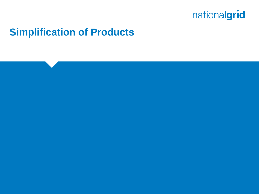

#### **Simplification of Products**

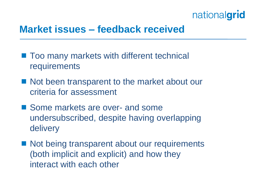### **Market issues – feedback received**

- Too many markets with different technical **requirements**
- Not been transparent to the market about our criteria for assessment
- Some markets are over- and some undersubscribed, despite having overlapping delivery
- Not being transparent about our requirements (both implicit and explicit) and how they interact with each other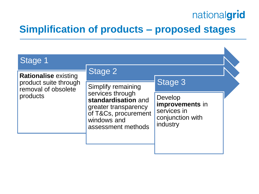K

### **Simplification of products – proposed stages**

| Stage 1                                                                                 |                                                                                                                                                    |                                                                           |  |
|-----------------------------------------------------------------------------------------|----------------------------------------------------------------------------------------------------------------------------------------------------|---------------------------------------------------------------------------|--|
| <b>Rationalise existing</b><br>product suite through<br>removal of obsolete<br>products | Stage 2                                                                                                                                            |                                                                           |  |
|                                                                                         | Simplify remaining<br>services through<br>standardisation and<br>greater transparency<br>of T&Cs, procurement<br>windows and<br>assessment methods | Stage 3                                                                   |  |
|                                                                                         |                                                                                                                                                    | Develop<br>improvements in<br>services in<br>conjunction with<br>industry |  |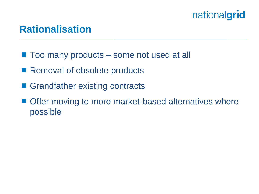#### **Rationalisation**

- Too many products some not used at all
- Removal of obsolete products
- Grandfather existing contracts
- Offer moving to more market-based alternatives where possible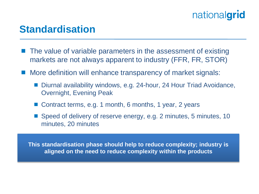#### **Standardisation**

- The value of variable parameters in the assessment of existing markets are not always apparent to industry (FFR, FR, STOR)
- More definition will enhance transparency of market signals:
	- Diurnal availability windows, e.g. 24-hour, 24 Hour Triad Avoidance, Overnight, Evening Peak
	- Contract terms, e.g. 1 month, 6 months, 1 year, 2 years
	- Speed of delivery of reserve energy, e.g. 2 minutes, 5 minutes, 10 minutes, 20 minutes

**This standardisation phase should help to reduce complexity; industry is aligned on the need to reduce complexity within the products**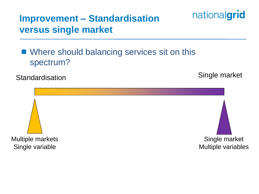### **Improvement – Standardisation versus single market**

#### ■ Where should balancing services sit on this spectrum?

Standardisation Single market

nationalgrid

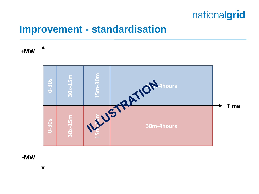

#### **Improvement - standardisation**



-MW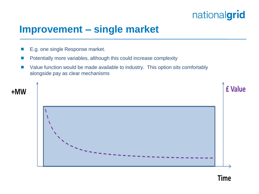

**Time** 

#### **Improvement – single market**

- E.g. one single Response market.
- **Potentially more variables, although this could increase complexity**
- Value function would be made available to industry. This option sits comfortably alongside pay as clear mechanisms

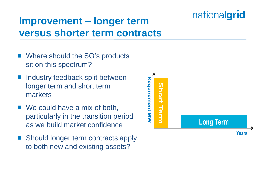### **Improvement – longer term versus shorter term contracts**

- Where should the SO's products sit on this spectrum?
- Industry feedback split between longer term and short term markets
- We could have a mix of both, particularly in the transition period as we build market confidence
- Should longer term contracts apply to both new and existing assets?

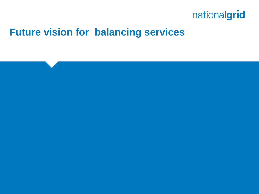

### **Future vision for balancing services**

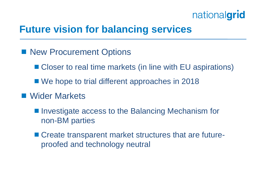### **Future vision for balancing services**

- **New Procurement Options** 
	- Closer to real time markets (in line with EU aspirations)
	- We hope to trial different approaches in 2018
- Wider Markets
	- Investigate access to the Balancing Mechanism for non-BM parties
	- Create transparent market structures that are futureproofed and technology neutral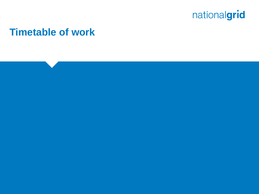

#### **Timetable of work**

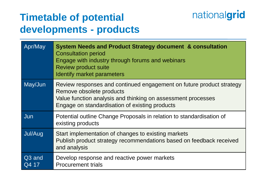### **Timetable of potential developments - products**

| Apr/May                     | System Needs and Product Strategy document & consultation<br><b>Consultation period</b><br>Engage with industry through forums and webinars<br><b>Review product suite</b><br>Identify market parameters           |
|-----------------------------|--------------------------------------------------------------------------------------------------------------------------------------------------------------------------------------------------------------------|
| May/Jun                     | Review responses and continued engagement on future product strategy<br>Remove obsolete products<br>Value function analysis and thinking on assessment processes<br>Engage on standardisation of existing products |
| Jun                         | Potential outline Change Proposals in relation to standardisation of<br>existing products                                                                                                                          |
| Jul/Aug                     | Start implementation of changes to existing markets<br>Publish product strategy recommendations based on feedback received<br>and analysis                                                                         |
| Q <sub>3</sub> and<br>Q4 17 | Develop response and reactive power markets<br><b>Procurement trials</b>                                                                                                                                           |